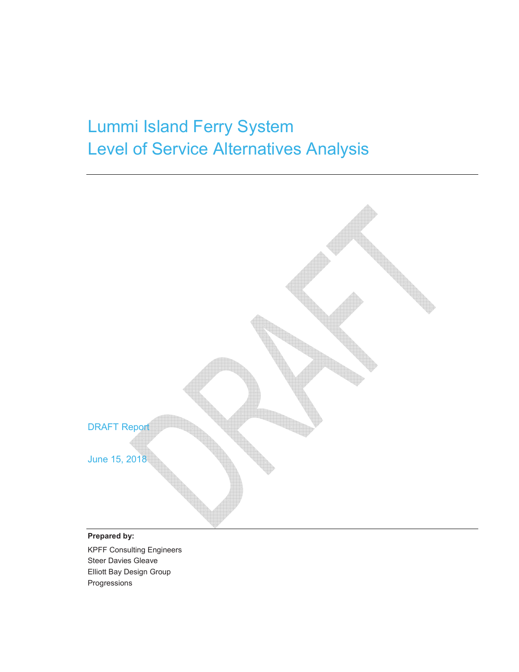# Lummi Island Ferry System Level of Service Alternatives Analysis



#### **Prepared by:**

KPFF Consulting Engineers Steer Davies Gleave Elliott Bay Design Group Progressions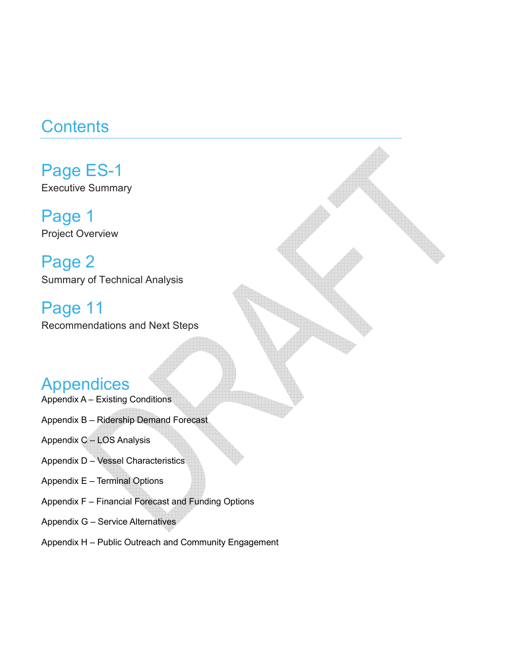# **Contents**

Page ES-1 Executive Summary

Page 1 Project Overview

Page 2 Summary of Technical Analysis

Page 11 Recommendations and Next Steps

## Appendices

- Appendix A Existing Conditions
- Appendix B Ridership Demand Forecast

Appendix C – LOS Analysis

- Appendix D Vessel Characteristics
- Appendix E Terminal Options
- Appendix F Financial Forecast and Funding Options
- Appendix G Service Alternatives
- Appendix H Public Outreach and Community Engagement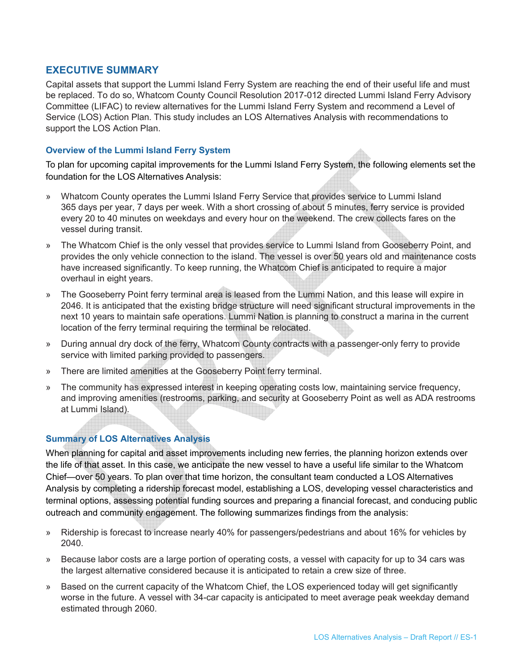#### **EXECUTIVE SUMMARY**

Capital assets that support the Lummi Island Ferry System are reaching the end of their useful life and must be replaced. To do so, Whatcom County Council Resolution 2017-012 directed Lummi Island Ferry Advisory Committee (LIFAC) to review alternatives for the Lummi Island Ferry System and recommend a Level of Service (LOS) Action Plan. This study includes an LOS Alternatives Analysis with recommendations to support the LOS Action Plan.

#### **Overview of the Lummi Island Ferry System**

To plan for upcoming capital improvements for the Lummi Island Ferry System, the following elements set the foundation for the LOS Alternatives Analysis:

- » Whatcom County operates the Lummi Island Ferry Service that provides service to Lummi Island 365 days per year, 7 days per week. With a short crossing of about 5 minutes, ferry service is provided every 20 to 40 minutes on weekdays and every hour on the weekend. The crew collects fares on the vessel during transit.
- » The Whatcom Chief is the only vessel that provides service to Lummi Island from Gooseberry Point, and provides the only vehicle connection to the island. The vessel is over 50 years old and maintenance costs have increased significantly. To keep running, the Whatcom Chief is anticipated to require a major overhaul in eight years.
- » The Gooseberry Point ferry terminal area is leased from the Lummi Nation, and this lease will expire in 2046. It is anticipated that the existing bridge structure will need significant structural improvements in the next 10 years to maintain safe operations. Lummi Nation is planning to construct a marina in the current location of the ferry terminal requiring the terminal be relocated.
- » During annual dry dock of the ferry, Whatcom County contracts with a passenger-only ferry to provide service with limited parking provided to passengers.
- » There are limited amenities at the Gooseberry Point ferry terminal.
- » The community has expressed interest in keeping operating costs low, maintaining service frequency, and improving amenities (restrooms, parking, and security at Gooseberry Point as well as ADA restrooms at Lummi Island).

#### **Summary of LOS Alternatives Analysis**

When planning for capital and asset improvements including new ferries, the planning horizon extends over the life of that asset. In this case, we anticipate the new vessel to have a useful life similar to the Whatcom Chief—over 50 years. To plan over that time horizon, the consultant team conducted a LOS Alternatives Analysis by completing a ridership forecast model, establishing a LOS, developing vessel characteristics and terminal options, assessing potential funding sources and preparing a financial forecast, and conducing public outreach and community engagement. The following summarizes findings from the analysis:

- » Ridership is forecast to increase nearly 40% for passengers/pedestrians and about 16% for vehicles by 2040.
- » Because labor costs are a large portion of operating costs, a vessel with capacity for up to 34 cars was the largest alternative considered because it is anticipated to retain a crew size of three.
- » Based on the current capacity of the Whatcom Chief, the LOS experienced today will get significantly worse in the future. A vessel with 34-car capacity is anticipated to meet average peak weekday demand estimated through 2060.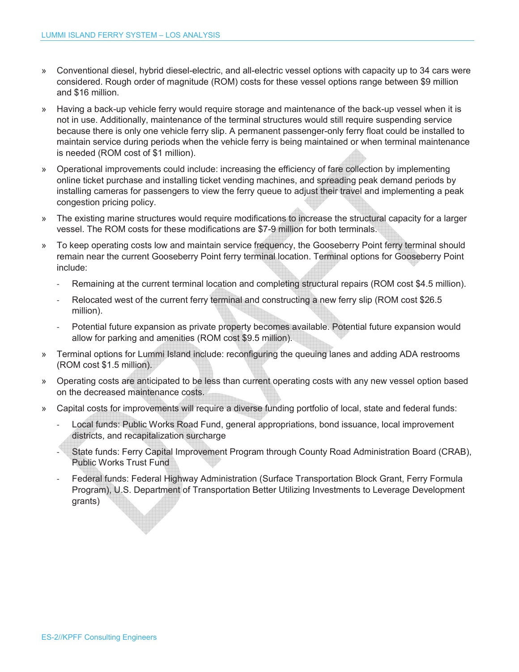- » Conventional diesel, hybrid diesel-electric, and all-electric vessel options with capacity up to 34 cars were considered. Rough order of magnitude (ROM) costs for these vessel options range between \$9 million and \$16 million.
- » Having a back-up vehicle ferry would require storage and maintenance of the back-up vessel when it is not in use. Additionally, maintenance of the terminal structures would still require suspending service because there is only one vehicle ferry slip. A permanent passenger-only ferry float could be installed to maintain service during periods when the vehicle ferry is being maintained or when terminal maintenance is needed (ROM cost of \$1 million).
- » Operational improvements could include: increasing the efficiency of fare collection by implementing online ticket purchase and installing ticket vending machines, and spreading peak demand periods by installing cameras for passengers to view the ferry queue to adjust their travel and implementing a peak congestion pricing policy.
- » The existing marine structures would require modifications to increase the structural capacity for a larger vessel. The ROM costs for these modifications are \$7-9 million for both terminals.
- » To keep operating costs low and maintain service frequency, the Gooseberry Point ferry terminal should remain near the current Gooseberry Point ferry terminal location. Terminal options for Gooseberry Point include:
	- Remaining at the current terminal location and completing structural repairs (ROM cost \$4.5 million).
	- Relocated west of the current ferry terminal and constructing a new ferry slip (ROM cost \$26.5) million).
	- Potential future expansion as private property becomes available. Potential future expansion would allow for parking and amenities (ROM cost \$9.5 million).
- » Terminal options for Lummi Island include: reconfiguring the queuing lanes and adding ADA restrooms (ROM cost \$1.5 million).
- » Operating costs are anticipated to be less than current operating costs with any new vessel option based on the decreased maintenance costs.
- » Capital costs for improvements will require a diverse funding portfolio of local, state and federal funds:
	- Local funds: Public Works Road Fund, general appropriations, bond issuance, local improvement districts, and recapitalization surcharge
	- State funds: Ferry Capital Improvement Program through County Road Administration Board (CRAB), Public Works Trust Fund
	- Federal funds: Federal Highway Administration (Surface Transportation Block Grant, Ferry Formula Program), U.S. Department of Transportation Better Utilizing Investments to Leverage Development grants)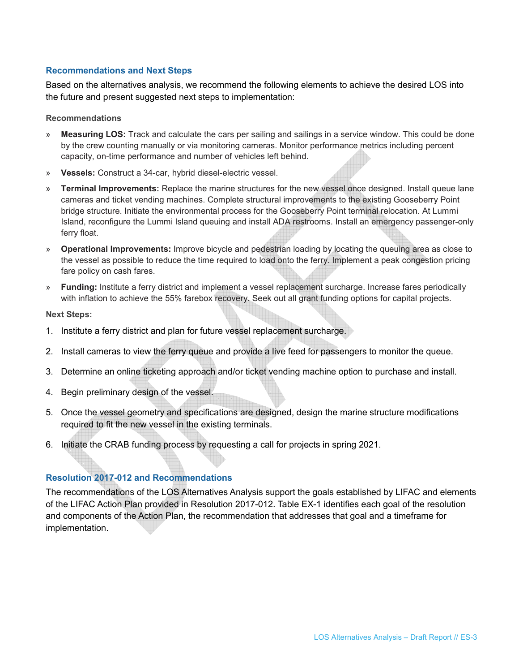#### **Recommendations and Next Steps**

Based on the alternatives analysis, we recommend the following elements to achieve the desired LOS into the future and present suggested next steps to implementation:

#### **Recommendations**

- » **Measuring LOS:** Track and calculate the cars per sailing and sailings in a service window. This could be done by the crew counting manually or via monitoring cameras. Monitor performance metrics including percent capacity, on-time performance and number of vehicles left behind.
- » **Vessels:** Construct a 34-car, hybrid diesel-electric vessel.
- » **Terminal Improvements:** Replace the marine structures for the new vessel once designed. Install queue lane cameras and ticket vending machines. Complete structural improvements to the existing Gooseberry Point bridge structure. Initiate the environmental process for the Gooseberry Point terminal relocation. At Lummi Island, reconfigure the Lummi Island queuing and install ADA restrooms. Install an emergency passenger-only ferry float.
- » **Operational Improvements:** Improve bicycle and pedestrian loading by locating the queuing area as close to the vessel as possible to reduce the time required to load onto the ferry. Implement a peak congestion pricing fare policy on cash fares.
- » **Funding:** Institute a ferry district and implement a vessel replacement surcharge. Increase fares periodically with inflation to achieve the 55% farebox recovery. Seek out all grant funding options for capital projects.

#### **Next Steps:**

- 1. Institute a ferry district and plan for future vessel replacement surcharge.
- 2. Install cameras to view the ferry queue and provide a live feed for passengers to monitor the queue.
- 3. Determine an online ticketing approach and/or ticket vending machine option to purchase and install.
- 4. Begin preliminary design of the vessel.
- 5. Once the vessel geometry and specifications are designed, design the marine structure modifications required to fit the new vessel in the existing terminals.
- 6. Initiate the CRAB funding process by requesting a call for projects in spring 2021.

#### **Resolution 2017-012 and Recommendations**

The recommendations of the LOS Alternatives Analysis support the goals established by LIFAC and elements of the LIFAC Action Plan provided in Resolution 2017-012. Table EX-1 identifies each goal of the resolution and components of the Action Plan, the recommendation that addresses that goal and a timeframe for implementation.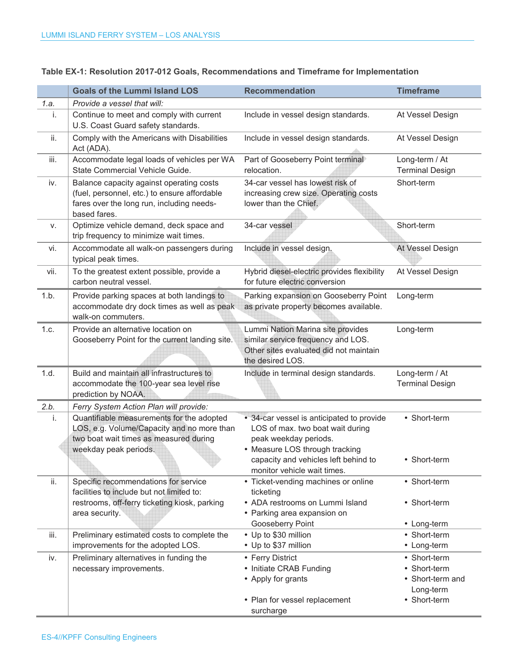|      | <b>Goals of the Lummi Island LOS</b>                                                                                                                       | <b>Recommendation</b>                                                                                                                                                            | <b>Timeframe</b>                                                              |
|------|------------------------------------------------------------------------------------------------------------------------------------------------------------|----------------------------------------------------------------------------------------------------------------------------------------------------------------------------------|-------------------------------------------------------------------------------|
| 1.a. | Provide a vessel that will:                                                                                                                                |                                                                                                                                                                                  |                                                                               |
| i.   | Continue to meet and comply with current<br>U.S. Coast Guard safety standards.                                                                             | Include in vessel design standards.                                                                                                                                              | At Vessel Design                                                              |
| ii.  | Comply with the Americans with Disabilities<br>Act (ADA).                                                                                                  | Include in vessel design standards.                                                                                                                                              | At Vessel Design                                                              |
| iii. | Accommodate legal loads of vehicles per WA<br>State Commercial Vehicle Guide.                                                                              | Part of Gooseberry Point terminal<br>relocation.                                                                                                                                 | Long-term / At<br><b>Terminal Design</b>                                      |
| iv.  | Balance capacity against operating costs<br>(fuel, personnel, etc.) to ensure affordable<br>fares over the long run, including needs-<br>based fares.      | 34-car vessel has lowest risk of<br>increasing crew size. Operating costs<br>lower than the Chief.                                                                               | Short-term                                                                    |
| v.   | Optimize vehicle demand, deck space and<br>trip frequency to minimize wait times.                                                                          | 34-car vessel                                                                                                                                                                    | Short-term                                                                    |
| vi.  | Accommodate all walk-on passengers during<br>typical peak times.                                                                                           | Include in vessel design.                                                                                                                                                        | At Vessel Design                                                              |
| vii. | To the greatest extent possible, provide a<br>carbon neutral vessel.                                                                                       | Hybrid diesel-electric provides flexibility<br>for future electric conversion                                                                                                    | At Vessel Design                                                              |
| 1.b. | Provide parking spaces at both landings to<br>accommodate dry dock times as well as peak<br>walk-on commuters.                                             | Parking expansion on Gooseberry Point<br>as private property becomes available.                                                                                                  | Long-term                                                                     |
| 1.c. | Provide an alternative location on<br>Gooseberry Point for the current landing site.                                                                       | Lummi Nation Marina site provides<br>similar service frequency and LOS.<br>Other sites evaluated did not maintain<br>the desired LOS.                                            | Long-term                                                                     |
| 1.d. | Build and maintain all infrastructures to<br>accommodate the 100-year sea level rise<br>prediction by NOAA.                                                | Include in terminal design standards.                                                                                                                                            | Long-term / At<br><b>Terminal Design</b>                                      |
| 2.b. | Ferry System Action Plan will provide:                                                                                                                     |                                                                                                                                                                                  |                                                                               |
| i.   | Quantifiable measurements for the adopted<br>LOS, e.g. Volume/Capacity and no more than<br>two boat wait times as measured during<br>weekday peak periods. | • 34-car vessel is anticipated to provide<br>LOS of max. two boat wait during<br>peak weekday periods.<br>• Measure LOS through tracking<br>capacity and vehicles left behind to | • Short-term<br>• Short-term                                                  |
|      |                                                                                                                                                            | monitor vehicle wait times.                                                                                                                                                      |                                                                               |
| ii.  | Specific recommendations for service<br>facilities to include but not limited to:<br>restrooms, off-ferry ticketing kiosk, parking<br>area security.       | • Ticket-vending machines or online<br>ticketing<br>• ADA restrooms on Lummi Island<br>• Parking area expansion on                                                               | • Short-term<br>• Short-term                                                  |
|      |                                                                                                                                                            | Gooseberry Point                                                                                                                                                                 | • Long-term                                                                   |
| iii. | Preliminary estimated costs to complete the<br>improvements for the adopted LOS.                                                                           | • Up to \$30 million<br>• Up to \$37 million                                                                                                                                     | • Short-term<br>• Long-term                                                   |
| iv.  | Preliminary alternatives in funding the<br>necessary improvements.                                                                                         | • Ferry District<br>• Initiate CRAB Funding<br>• Apply for grants<br>• Plan for vessel replacement<br>surcharge                                                                  | • Short-term<br>• Short-term<br>• Short-term and<br>Long-term<br>• Short-term |

#### **Table EX-1: Resolution 2017-012 Goals, Recommendations and Timeframe for Implementation**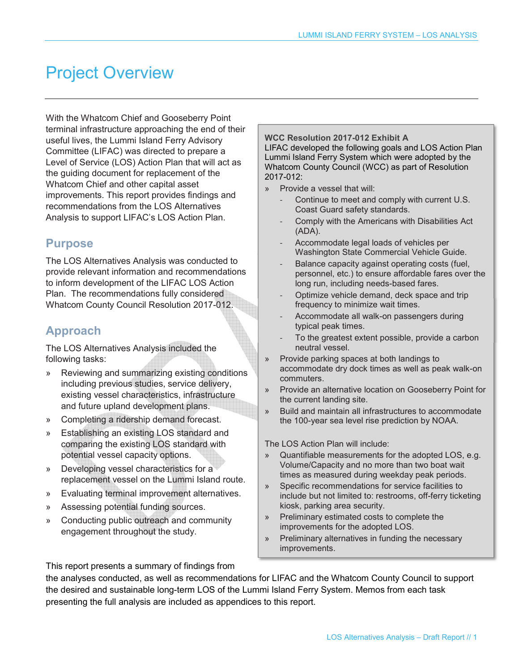# Project Overview

With the Whatcom Chief and Gooseberry Point terminal infrastructure approaching the end of their useful lives, the Lummi Island Ferry Advisory Committee (LIFAC) was directed to prepare a Level of Service (LOS) Action Plan that will act as the guiding document for replacement of the Whatcom Chief and other capital asset improvements. This report provides findings and recommendations from the LOS Alternatives Analysis to support LIFAC's LOS Action Plan.

### **Purpose**

The LOS Alternatives Analysis was conducted to provide relevant information and recommendations to inform development of the LIFAC LOS Action Plan. The recommendations fully considered Whatcom County Council Resolution 2017-012.

## **Approach**

The LOS Alternatives Analysis included the following tasks:

- » Reviewing and summarizing existing conditions including previous studies, service delivery, existing vessel characteristics, infrastructure and future upland development plans.
- » Completing a ridership demand forecast.
- » Establishing an existing LOS standard and comparing the existing LOS standard with potential vessel capacity options.
- » Developing vessel characteristics for a replacement vessel on the Lummi Island route.
- » Evaluating terminal improvement alternatives.
- » Assessing potential funding sources.
- » Conducting public outreach and community engagement throughout the study.

#### **WCC Resolution 2017-012 Exhibit A**

LIFAC developed the following goals and LOS Action Plan Lummi Island Ferry System which were adopted by the Whatcom County Council (WCC) as part of Resolution 2017-012:

- » Provide a vessel that will:
	- Continue to meet and comply with current U.S. Coast Guard safety standards.
	- Comply with the Americans with Disabilities Act (ADA).
	- Accommodate legal loads of vehicles per Washington State Commercial Vehicle Guide.
	- Balance capacity against operating costs (fuel, personnel, etc.) to ensure affordable fares over the long run, including needs-based fares.
	- Optimize vehicle demand, deck space and trip frequency to minimize wait times.
	- Accommodate all walk-on passengers during typical peak times.
	- To the greatest extent possible, provide a carbon neutral vessel.
- » Provide parking spaces at both landings to accommodate dry dock times as well as peak walk-on commuters.
- » Provide an alternative location on Gooseberry Point for the current landing site.
- » Build and maintain all infrastructures to accommodate the 100-year sea level rise prediction by NOAA.

The LOS Action Plan will include:

- » Quantifiable measurements for the adopted LOS, e.g. Volume/Capacity and no more than two boat wait times as measured during weekday peak periods.
- Specific recommendations for service facilities to include but not limited to: restrooms, off-ferry ticketing kiosk, parking area security.
- » Preliminary estimated costs to complete the improvements for the adopted LOS.
- » Preliminary alternatives in funding the necessary improvements.

This report presents a summary of findings from

the analyses conducted, as well as recommendations for LIFAC and the Whatcom County Council to support the desired and sustainable long-term LOS of the Lummi Island Ferry System. Memos from each task presenting the full analysis are included as appendices to this report.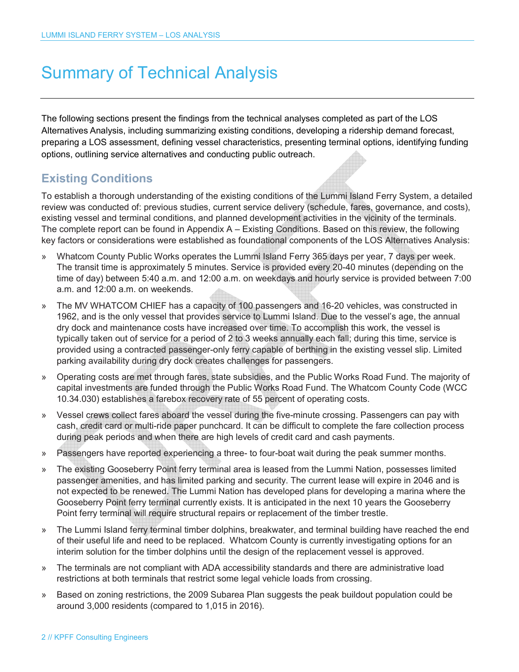## Summary of Technical Analysis

The following sections present the findings from the technical analyses completed as part of the LOS Alternatives Analysis, including summarizing existing conditions, developing a ridership demand forecast, preparing a LOS assessment, defining vessel characteristics, presenting terminal options, identifying funding options, outlining service alternatives and conducting public outreach.

## **Existing Conditions**

To establish a thorough understanding of the existing conditions of the Lummi Island Ferry System, a detailed review was conducted of: previous studies, current service delivery (schedule, fares, governance, and costs), existing vessel and terminal conditions, and planned development activities in the vicinity of the terminals. The complete report can be found in Appendix A – Existing Conditions. Based on this review, the following key factors or considerations were established as foundational components of the LOS Alternatives Analysis:

- » Whatcom County Public Works operates the Lummi Island Ferry 365 days per year, 7 days per week. The transit time is approximately 5 minutes. Service is provided every 20-40 minutes (depending on the time of day) between 5:40 a.m. and 12:00 a.m. on weekdays and hourly service is provided between 7:00 a.m. and 12:00 a.m. on weekends.
- » The MV WHATCOM CHIEF has a capacity of 100 passengers and 16-20 vehicles, was constructed in 1962, and is the only vessel that provides service to Lummi Island. Due to the vessel's age, the annual dry dock and maintenance costs have increased over time. To accomplish this work, the vessel is typically taken out of service for a period of 2 to 3 weeks annually each fall; during this time, service is provided using a contracted passenger-only ferry capable of berthing in the existing vessel slip. Limited parking availability during dry dock creates challenges for passengers.
- » Operating costs are met through fares, state subsidies, and the Public Works Road Fund. The majority of capital investments are funded through the Public Works Road Fund. The Whatcom County Code (WCC 10.34.030) establishes a farebox recovery rate of 55 percent of operating costs.
- » Vessel crews collect fares aboard the vessel during the five-minute crossing. Passengers can pay with cash, credit card or multi-ride paper punchcard. It can be difficult to complete the fare collection process during peak periods and when there are high levels of credit card and cash payments.
- » Passengers have reported experiencing a three- to four-boat wait during the peak summer months.
- » The existing Gooseberry Point ferry terminal area is leased from the Lummi Nation, possesses limited passenger amenities, and has limited parking and security. The current lease will expire in 2046 and is not expected to be renewed. The Lummi Nation has developed plans for developing a marina where the Gooseberry Point ferry terminal currently exists. It is anticipated in the next 10 years the Gooseberry Point ferry terminal will require structural repairs or replacement of the timber trestle.
- » The Lummi Island ferry terminal timber dolphins, breakwater, and terminal building have reached the end of their useful life and need to be replaced. Whatcom County is currently investigating options for an interim solution for the timber dolphins until the design of the replacement vessel is approved.
- » The terminals are not compliant with ADA accessibility standards and there are administrative load restrictions at both terminals that restrict some legal vehicle loads from crossing.
- » Based on zoning restrictions, the 2009 Subarea Plan suggests the peak buildout population could be around 3,000 residents (compared to 1,015 in 2016).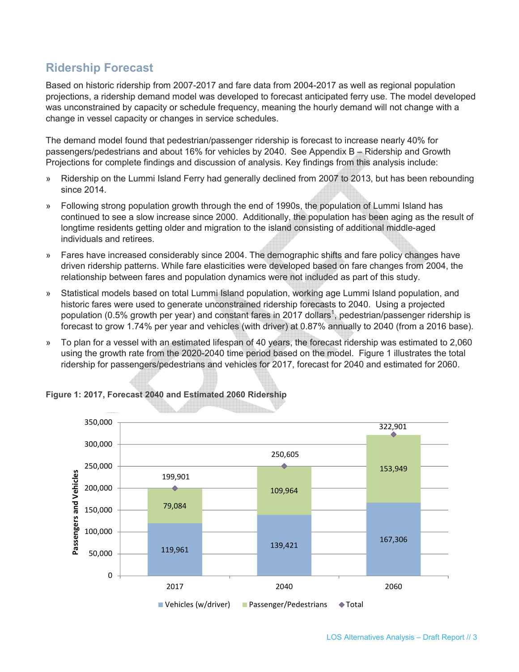## **Ridership Forecast**

Based on historic ridership from 2007-2017 and fare data from 2004-2017 as well as regional population projections, a ridership demand model was developed to forecast anticipated ferry use. The model developed was unconstrained by capacity or schedule frequency, meaning the hourly demand will not change with a change in vessel capacity or changes in service schedules.

The demand model found that pedestrian/passenger ridership is forecast to increase nearly 40% for passengers/pedestrians and about 16% for vehicles by 2040. See Appendix B – Ridership and Growth Projections for complete findings and discussion of analysis. Key findings from this analysis include:

- » Ridership on the Lummi Island Ferry had generally declined from 2007 to 2013, but has been rebounding since 2014.
- » Following strong population growth through the end of 1990s, the population of Lummi Island has continued to see a slow increase since 2000. Additionally, the population has been aging as the result of longtime residents getting older and migration to the island consisting of additional middle-aged individuals and retirees.
- » Fares have increased considerably since 2004. The demographic shifts and fare policy changes have driven ridership patterns. While fare elasticities were developed based on fare changes from 2004, the relationship between fares and population dynamics were not included as part of this study.
- » Statistical models based on total Lummi Island population, working age Lummi Island population, and historic fares were used to generate unconstrained ridership forecasts to 2040. Using a projected population (0.5% growth per year) and constant fares in 2017 dollars<sup>1</sup>, pedestrian/passenger ridership is forecast to grow 1.74% per year and vehicles (with driver) at 0.87% annually to 2040 (from a 2016 base).
- » To plan for a vessel with an estimated lifespan of 40 years, the forecast ridership was estimated to 2,060 using the growth rate from the 2020-2040 time period based on the model. Figure 1 illustrates the total ridership for passengers/pedestrians and vehicles for 2017, forecast for 2040 and estimated for 2060.



#### **Figure 1: 2017, Forecast 2040 and Estimated 2060 Ridership**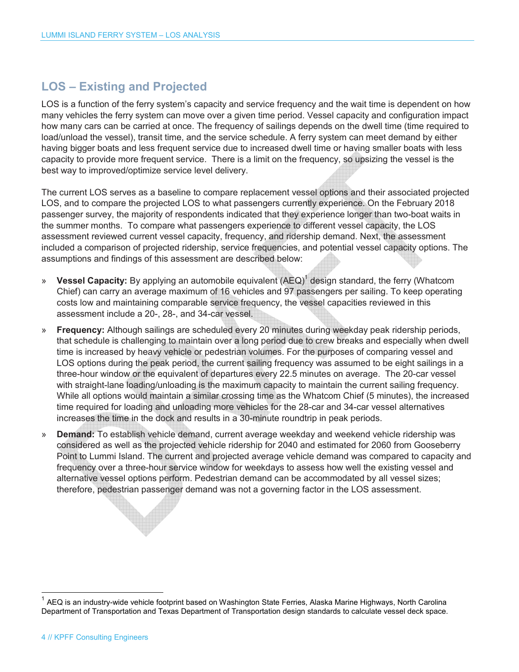## **LOS – Existing and Projected**

LOS is a function of the ferry system's capacity and service frequency and the wait time is dependent on how many vehicles the ferry system can move over a given time period. Vessel capacity and configuration impact how many cars can be carried at once. The frequency of sailings depends on the dwell time (time required to load/unload the vessel), transit time, and the service schedule. A ferry system can meet demand by either having bigger boats and less frequent service due to increased dwell time or having smaller boats with less capacity to provide more frequent service. There is a limit on the frequency, so upsizing the vessel is the best way to improved/optimize service level delivery.

The current LOS serves as a baseline to compare replacement vessel options and their associated projected LOS, and to compare the projected LOS to what passengers currently experience. On the February 2018 passenger survey, the majority of respondents indicated that they experience longer than two-boat waits in the summer months. To compare what passengers experience to different vessel capacity, the LOS assessment reviewed current vessel capacity, frequency, and ridership demand. Next, the assessment included a comparison of projected ridership, service frequencies, and potential vessel capacity options. The assumptions and findings of this assessment are described below:

- » Vessel Capacity: By applying an automobile equivalent (AEQ)<sup>1</sup> design standard, the ferry (Whatcom Chief) can carry an average maximum of 16 vehicles and 97 passengers per sailing. To keep operating costs low and maintaining comparable service frequency, the vessel capacities reviewed in this assessment include a 20-, 28-, and 34-car vessel.
- » **Frequency:** Although sailings are scheduled every 20 minutes during weekday peak ridership periods, that schedule is challenging to maintain over a long period due to crew breaks and especially when dwell time is increased by heavy vehicle or pedestrian volumes. For the purposes of comparing vessel and LOS options during the peak period, the current sailing frequency was assumed to be eight sailings in a three-hour window or the equivalent of departures every 22.5 minutes on average. The 20-car vessel with straight-lane loading/unloading is the maximum capacity to maintain the current sailing frequency. While all options would maintain a similar crossing time as the Whatcom Chief (5 minutes), the increased time required for loading and unloading more vehicles for the 28-car and 34-car vessel alternatives increases the time in the dock and results in a 30-minute roundtrip in peak periods.
- » **Demand:** To establish vehicle demand, current average weekday and weekend vehicle ridership was considered as well as the projected vehicle ridership for 2040 and estimated for 2060 from Gooseberry Point to Lummi Island. The current and projected average vehicle demand was compared to capacity and frequency over a three-hour service window for weekdays to assess how well the existing vessel and alternative vessel options perform. Pedestrian demand can be accommodated by all vessel sizes; therefore, pedestrian passenger demand was not a governing factor in the LOS assessment.

j

<sup>&</sup>lt;sup>1</sup> AEQ is an industry-wide vehicle footprint based on Washington State Ferries, Alaska Marine Highways, North Carolina Department of Transportation and Texas Department of Transportation design standards to calculate vessel deck space.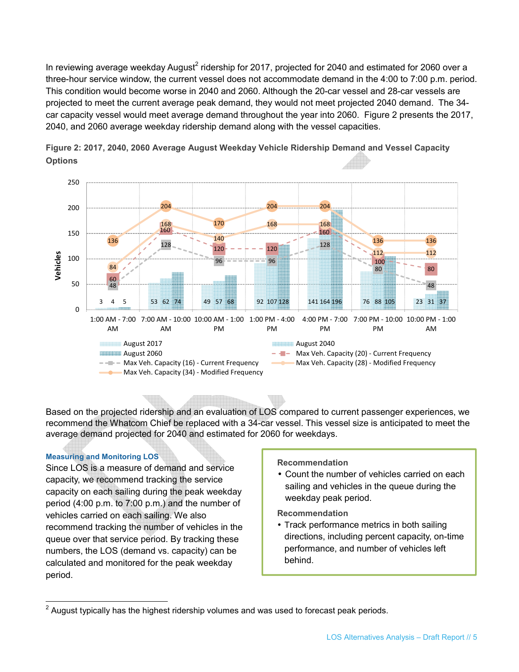In reviewing average weekday August<sup>2</sup> ridership for 2017, projected for 2040 and estimated for 2060 over a three-hour service window, the current vessel does not accommodate demand in the 4:00 to 7:00 p.m. period. This condition would become worse in 2040 and 2060. Although the 20-car vessel and 28-car vessels are projected to meet the current average peak demand, they would not meet projected 2040 demand. The 34 car capacity vessel would meet average demand throughout the year into 2060. Figure 2 presents the 2017, 2040, and 2060 average weekday ridership demand along with the vessel capacities.



**Figure 2: 2017, 2040, 2060 Average August Weekday Vehicle Ridership Demand and Vessel Capacity Options**

Based on the projected ridership and an evaluation of LOS compared to current passenger experiences, we recommend the Whatcom Chief be replaced with a 34-car vessel. This vessel size is anticipated to meet the average demand projected for 2040 and estimated for 2060 for weekdays.

#### **Measuring and Monitoring LOS**

Since LOS is a measure of demand and service capacity, we recommend tracking the service capacity on each sailing during the peak weekday period (4:00 p.m. to 7:00 p.m.) and the number of vehicles carried on each sailing. We also recommend tracking the number of vehicles in the queue over that service period. By tracking these numbers, the LOS (demand vs. capacity) can be calculated and monitored for the peak weekday period.

#### **Recommendation**

• Count the number of vehicles carried on each sailing and vehicles in the queue during the weekday peak period.

**Recommendation** 

• Track performance metrics in both sailing directions, including percent capacity, on-time performance, and number of vehicles left behind.

 2 August typically has the highest ridership volumes and was used to forecast peak periods.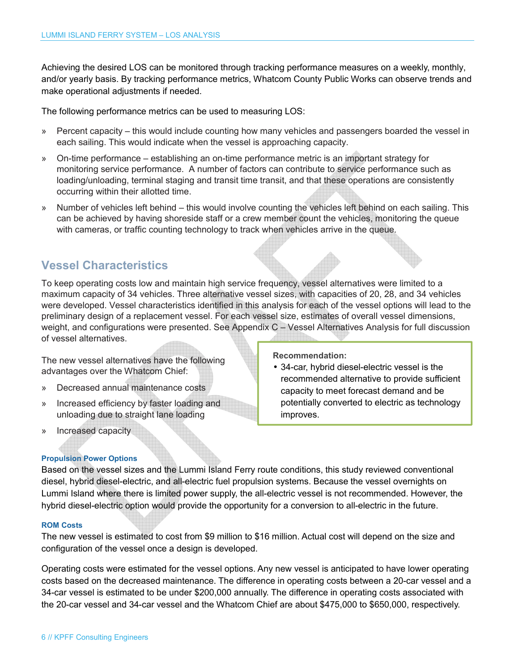Achieving the desired LOS can be monitored through tracking performance measures on a weekly, monthly, and/or yearly basis. By tracking performance metrics, Whatcom County Public Works can observe trends and make operational adjustments if needed.

The following performance metrics can be used to measuring LOS:

- » Percent capacity this would include counting how many vehicles and passengers boarded the vessel in each sailing. This would indicate when the vessel is approaching capacity.
- » On-time performance establishing an on-time performance metric is an important strategy for monitoring service performance. A number of factors can contribute to service performance such as loading/unloading, terminal staging and transit time transit, and that these operations are consistently occurring within their allotted time.
- » Number of vehicles left behind this would involve counting the vehicles left behind on each sailing. This can be achieved by having shoreside staff or a crew member count the vehicles, monitoring the queue with cameras, or traffic counting technology to track when vehicles arrive in the queue.

### **Vessel Characteristics**

To keep operating costs low and maintain high service frequency, vessel alternatives were limited to a maximum capacity of 34 vehicles. Three alternative vessel sizes, with capacities of 20, 28, and 34 vehicles were developed. Vessel characteristics identified in this analysis for each of the vessel options will lead to the preliminary design of a replacement vessel. For each vessel size, estimates of overall vessel dimensions, weight, and configurations were presented. See Appendix C – Vessel Alternatives Analysis for full discussion of vessel alternatives.

The new vessel alternatives have the following advantages over the Whatcom Chief:

- » Decreased annual maintenance costs
- » Increased efficiency by faster loading and unloading due to straight lane loading
- » Increased capacity

**Propulsion Power Options** 

**Recommendation:** 

• 34-car, hybrid diesel-electric vessel is the recommended alternative to provide sufficient capacity to meet forecast demand and be potentially converted to electric as technology improves.

Based on the vessel sizes and the Lummi Island Ferry route conditions, this study reviewed conventional diesel, hybrid diesel-electric, and all-electric fuel propulsion systems. Because the vessel overnights on Lummi Island where there is limited power supply, the all-electric vessel is not recommended. However, the hybrid diesel-electric option would provide the opportunity for a conversion to all-electric in the future.

#### **ROM Costs**

The new vessel is estimated to cost from \$9 million to \$16 million. Actual cost will depend on the size and configuration of the vessel once a design is developed.

Operating costs were estimated for the vessel options. Any new vessel is anticipated to have lower operating costs based on the decreased maintenance. The difference in operating costs between a 20-car vessel and a 34-car vessel is estimated to be under \$200,000 annually. The difference in operating costs associated with the 20-car vessel and 34-car vessel and the Whatcom Chief are about \$475,000 to \$650,000, respectively.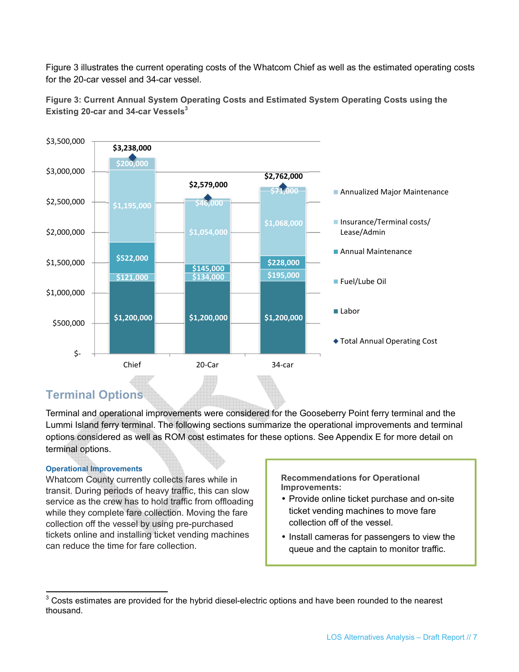Figure 3 illustrates the current operating costs of the Whatcom Chief as well as the estimated operating costs for the 20-car vessel and 34-car vessel.





## **Terminal Options**

Terminal and operational improvements were considered for the Gooseberry Point ferry terminal and the Lummi Island ferry terminal. The following sections summarize the operational improvements and terminal options considered as well as ROM cost estimates for these options. See Appendix E for more detail on terminal options.

#### **Operational Improvements**

Whatcom County currently collects fares while in transit. During periods of heavy traffic, this can slow service as the crew has to hold traffic from offloading while they complete fare collection. Moving the fare collection off the vessel by using pre-purchased tickets online and installing ticket vending machines can reduce the time for fare collection.

**Recommendations for Operational Improvements:** 

- Provide online ticket purchase and on-site ticket vending machines to move fare collection off of the vessel.
- Install cameras for passengers to view the queue and the captain to monitor traffic.

 3 Costs estimates are provided for the hybrid diesel-electric options and have been rounded to the nearest thousand.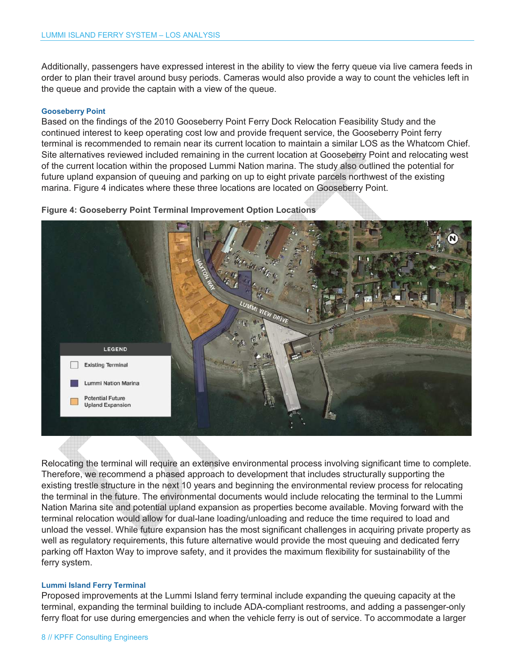Additionally, passengers have expressed interest in the ability to view the ferry queue via live camera feeds in order to plan their travel around busy periods. Cameras would also provide a way to count the vehicles left in the queue and provide the captain with a view of the queue.

#### **Gooseberry Point**

Based on the findings of the 2010 Gooseberry Point Ferry Dock Relocation Feasibility Study and the continued interest to keep operating cost low and provide frequent service, the Gooseberry Point ferry terminal is recommended to remain near its current location to maintain a similar LOS as the Whatcom Chief. Site alternatives reviewed included remaining in the current location at Gooseberry Point and relocating west of the current location within the proposed Lummi Nation marina. The study also outlined the potential for future upland expansion of queuing and parking on up to eight private parcels northwest of the existing marina. Figure 4 indicates where these three locations are located on Gooseberry Point.

**Figure 4: Gooseberry Point Terminal Improvement Option Locations** 



Relocating the terminal will require an extensive environmental process involving significant time to complete. Therefore, we recommend a phased approach to development that includes structurally supporting the existing trestle structure in the next 10 years and beginning the environmental review process for relocating the terminal in the future. The environmental documents would include relocating the terminal to the Lummi Nation Marina site and potential upland expansion as properties become available. Moving forward with the terminal relocation would allow for dual-lane loading/unloading and reduce the time required to load and unload the vessel. While future expansion has the most significant challenges in acquiring private property as well as regulatory requirements, this future alternative would provide the most queuing and dedicated ferry parking off Haxton Way to improve safety, and it provides the maximum flexibility for sustainability of the ferry system.

#### **Lummi Island Ferry Terminal**

Proposed improvements at the Lummi Island ferry terminal include expanding the queuing capacity at the terminal, expanding the terminal building to include ADA-compliant restrooms, and adding a passenger-only ferry float for use during emergencies and when the vehicle ferry is out of service. To accommodate a larger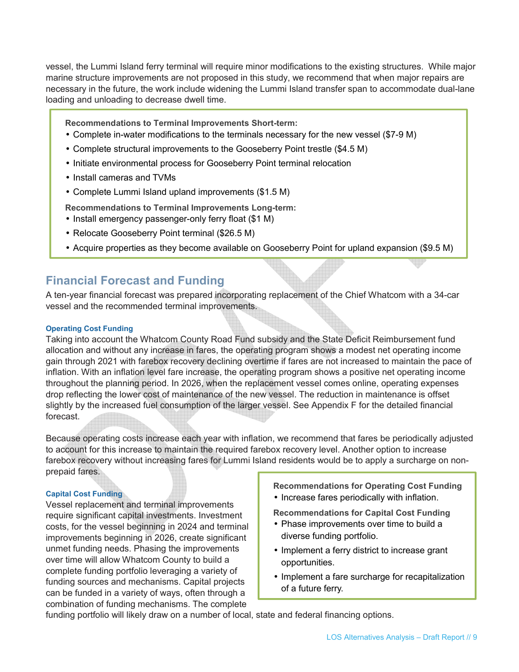vessel, the Lummi Island ferry terminal will require minor modifications to the existing structures. While major marine structure improvements are not proposed in this study, we recommend that when major repairs are necessary in the future, the work include widening the Lummi Island transfer span to accommodate dual-lane loading and unloading to decrease dwell time.

**Recommendations to Terminal Improvements Short-term:** 

- Complete in-water modifications to the terminals necessary for the new vessel (\$7-9 M)
- Complete structural improvements to the Gooseberry Point trestle (\$4.5 M)
- Initiate environmental process for Gooseberry Point terminal relocation
- Install cameras and TVMs
- Complete Lummi Island upland improvements (\$1.5 M)

**Recommendations to Terminal Improvements Long-term:**

- Install emergency passenger-only ferry float (\$1 M)
- Relocate Gooseberry Point terminal (\$26.5 M)
- Acquire properties as they become available on Gooseberry Point for upland expansion (\$9.5 M)

## **Financial Forecast and Funding**

A ten-year financial forecast was prepared incorporating replacement of the Chief Whatcom with a 34-car vessel and the recommended terminal improvements.

#### **Operating Cost Funding**

Taking into account the Whatcom County Road Fund subsidy and the State Deficit Reimbursement fund allocation and without any increase in fares, the operating program shows a modest net operating income gain through 2021 with farebox recovery declining overtime if fares are not increased to maintain the pace of inflation. With an inflation level fare increase, the operating program shows a positive net operating income throughout the planning period. In 2026, when the replacement vessel comes online, operating expenses drop reflecting the lower cost of maintenance of the new vessel. The reduction in maintenance is offset slightly by the increased fuel consumption of the larger vessel. See Appendix F for the detailed financial forecast.

Because operating costs increase each year with inflation, we recommend that fares be periodically adjusted to account for this increase to maintain the required farebox recovery level. Another option to increase farebox recovery without increasing fares for Lummi Island residents would be to apply a surcharge on nonprepaid fares.

#### **Capital Cost Funding**

Vessel replacement and terminal improvements require significant capital investments. Investment costs, for the vessel beginning in 2024 and terminal improvements beginning in 2026, create significant unmet funding needs. Phasing the improvements over time will allow Whatcom County to build a complete funding portfolio leveraging a variety of funding sources and mechanisms. Capital projects can be funded in a variety of ways, often through a combination of funding mechanisms. The complete

**Recommendations for Operating Cost Funding** 

• Increase fares periodically with inflation.

**Recommendations for Capital Cost Funding** 

- Phase improvements over time to build a diverse funding portfolio.
- Implement a ferry district to increase grant opportunities.
- Implement a fare surcharge for recapitalization of a future ferry.

funding portfolio will likely draw on a number of local, state and federal financing options.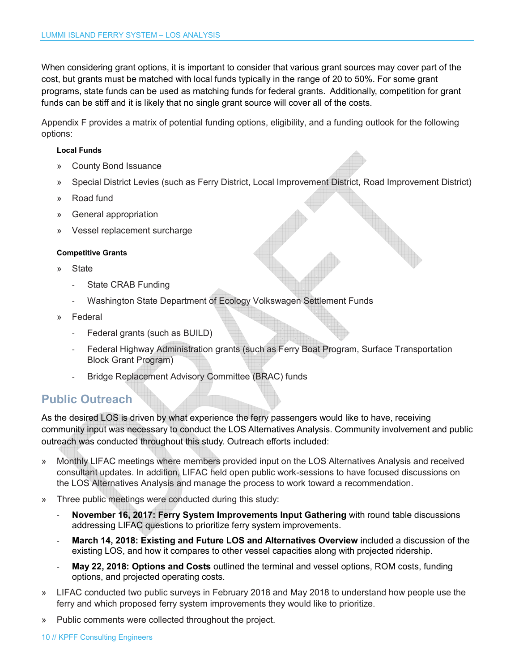When considering grant options, it is important to consider that various grant sources may cover part of the cost, but grants must be matched with local funds typically in the range of 20 to 50%. For some grant programs, state funds can be used as matching funds for federal grants. Additionally, competition for grant funds can be stiff and it is likely that no single grant source will cover all of the costs.

Appendix F provides a matrix of potential funding options, eligibility, and a funding outlook for the following options:

#### **Local Funds**

- » County Bond Issuance
- » Special District Levies (such as Ferry District, Local Improvement District, Road Improvement District)
- » Road fund
- » General appropriation
- » Vessel replacement surcharge

#### **Competitive Grants**

- » State
	- State CRAB Funding
	- Washington State Department of Ecology Volkswagen Settlement Funds
- » Federal
	- Federal grants (such as BUILD)
	- Federal Highway Administration grants (such as Ferry Boat Program, Surface Transportation Block Grant Program)
	- Bridge Replacement Advisory Committee (BRAC) funds

### **Public Outreach**

As the desired LOS is driven by what experience the ferry passengers would like to have, receiving community input was necessary to conduct the LOS Alternatives Analysis. Community involvement and public outreach was conducted throughout this study. Outreach efforts included:

- » Monthly LIFAC meetings where members provided input on the LOS Alternatives Analysis and received consultant updates. In addition, LIFAC held open public work-sessions to have focused discussions on the LOS Alternatives Analysis and manage the process to work toward a recommendation.
- » Three public meetings were conducted during this study:
	- **November 16, 2017: Ferry System Improvements Input Gathering with round table discussions** addressing LIFAC questions to prioritize ferry system improvements.
	- March 14, 2018: Existing and Future LOS and Alternatives Overview included a discussion of the existing LOS, and how it compares to other vessel capacities along with projected ridership.
	- **May 22, 2018: Options and Costs** outlined the terminal and vessel options, ROM costs, funding options, and projected operating costs.
- » LIFAC conducted two public surveys in February 2018 and May 2018 to understand how people use the ferry and which proposed ferry system improvements they would like to prioritize.
- » Public comments were collected throughout the project.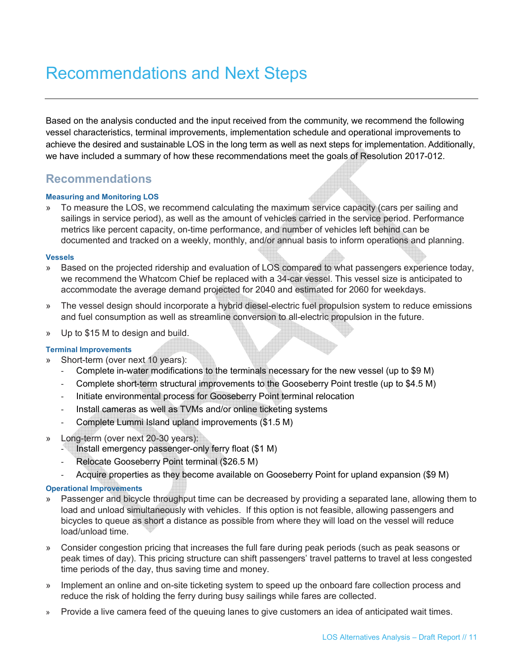# Recommendations and Next Steps

Based on the analysis conducted and the input received from the community, we recommend the following vessel characteristics, terminal improvements, implementation schedule and operational improvements to achieve the desired and sustainable LOS in the long term as well as next steps for implementation. Additionally, we have included a summary of how these recommendations meet the goals of Resolution 2017-012.

### **Recommendations**

#### **Measuring and Monitoring LOS**

» To measure the LOS, we recommend calculating the maximum service capacity (cars per sailing and sailings in service period), as well as the amount of vehicles carried in the service period. Performance metrics like percent capacity, on-time performance, and number of vehicles left behind can be documented and tracked on a weekly, monthly, and/or annual basis to inform operations and planning.

#### **Vessels**

- » Based on the projected ridership and evaluation of LOS compared to what passengers experience today, we recommend the Whatcom Chief be replaced with a 34-car vessel. This vessel size is anticipated to accommodate the average demand projected for 2040 and estimated for 2060 for weekdays.
- » The vessel design should incorporate a hybrid diesel-electric fuel propulsion system to reduce emissions and fuel consumption as well as streamline conversion to all-electric propulsion in the future.
- » Up to \$15 M to design and build.

#### **Terminal Improvements**

- Short-term (over next 10 years):
	- Complete in-water modifications to the terminals necessary for the new vessel (up to \$9 M)
	- Complete short-term structural improvements to the Gooseberry Point trestle (up to \$4.5 M)
	- Initiate environmental process for Gooseberry Point terminal relocation
	- Install cameras as well as TVMs and/or online ticketing systems
	- Complete Lummi Island upland improvements (\$1.5 M)
- » Long-term (over next 20-30 years):
	- Install emergency passenger-only ferry float (\$1 M)
	- Relocate Gooseberry Point terminal (\$26.5 M)
	- Acquire properties as they become available on Gooseberry Point for upland expansion (\$9 M)

#### **Operational Improvements**

- » Passenger and bicycle throughput time can be decreased by providing a separated lane, allowing them to load and unload simultaneously with vehicles. If this option is not feasible, allowing passengers and bicycles to queue as short a distance as possible from where they will load on the vessel will reduce load/unload time.
- » Consider congestion pricing that increases the full fare during peak periods (such as peak seasons or peak times of day). This pricing structure can shift passengers' travel patterns to travel at less congested time periods of the day, thus saving time and money.
- » Implement an online and on-site ticketing system to speed up the onboard fare collection process and reduce the risk of holding the ferry during busy sailings while fares are collected.
- » Provide a live camera feed of the queuing lanes to give customers an idea of anticipated wait times.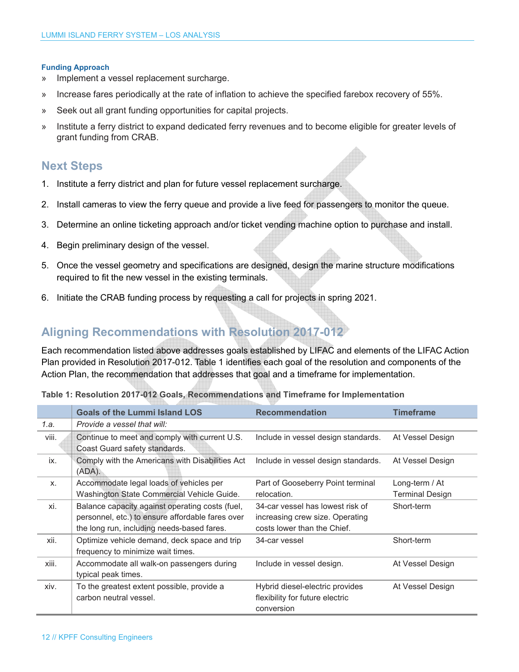#### **Funding Approach**

- » Implement a vessel replacement surcharge.
- » Increase fares periodically at the rate of inflation to achieve the specified farebox recovery of 55%.
- » Seek out all grant funding opportunities for capital projects.
- » Institute a ferry district to expand dedicated ferry revenues and to become eligible for greater levels of grant funding from CRAB.

### **Next Steps**

- 1. Institute a ferry district and plan for future vessel replacement surcharge.
- 2. Install cameras to view the ferry queue and provide a live feed for passengers to monitor the queue.
- 3. Determine an online ticketing approach and/or ticket vending machine option to purchase and install.
- 4. Begin preliminary design of the vessel.
- 5. Once the vessel geometry and specifications are designed, design the marine structure modifications required to fit the new vessel in the existing terminals.
- 6. Initiate the CRAB funding process by requesting a call for projects in spring 2021.

## **Aligning Recommendations with Resolution 2017-012**

Each recommendation listed above addresses goals established by LIFAC and elements of the LIFAC Action Plan provided in Resolution 2017-012. Table 1 identifies each goal of the resolution and components of the Action Plan, the recommendation that addresses that goal and a timeframe for implementation.

|  | Table 1: Resolution 2017-012 Goals, Recommendations and Timeframe for Implementation |  |  |
|--|--------------------------------------------------------------------------------------|--|--|
|--|--------------------------------------------------------------------------------------|--|--|

|       | <b>Goals of the Lummi Island LOS</b>                                                                                                              | <b>Recommendation</b>                                                                              | <b>Timeframe</b>                         |
|-------|---------------------------------------------------------------------------------------------------------------------------------------------------|----------------------------------------------------------------------------------------------------|------------------------------------------|
| 1.a.  | Provide a vessel that will:                                                                                                                       |                                                                                                    |                                          |
| viii. | Continue to meet and comply with current U.S.<br>Coast Guard safety standards.                                                                    | Include in vessel design standards.                                                                | At Vessel Design                         |
| ix.   | Comply with the Americans with Disabilities Act<br>(ADA).                                                                                         | Include in vessel design standards.                                                                | At Vessel Design                         |
| X.    | Accommodate legal loads of vehicles per<br>Washington State Commercial Vehicle Guide.                                                             | Part of Gooseberry Point terminal<br>relocation.                                                   | Long-term / At<br><b>Terminal Design</b> |
| xi.   | Balance capacity against operating costs (fuel,<br>personnel, etc.) to ensure affordable fares over<br>the long run, including needs-based fares. | 34-car vessel has lowest risk of<br>increasing crew size. Operating<br>costs lower than the Chief. | Short-term                               |
| xii.  | Optimize vehicle demand, deck space and trip<br>frequency to minimize wait times.                                                                 | 34-car vessel                                                                                      | Short-term                               |
| xiii. | Accommodate all walk-on passengers during<br>typical peak times.                                                                                  | Include in vessel design.                                                                          | At Vessel Design                         |
| xiv.  | To the greatest extent possible, provide a<br>carbon neutral vessel.                                                                              | Hybrid diesel-electric provides<br>flexibility for future electric<br>conversion                   | At Vessel Design                         |